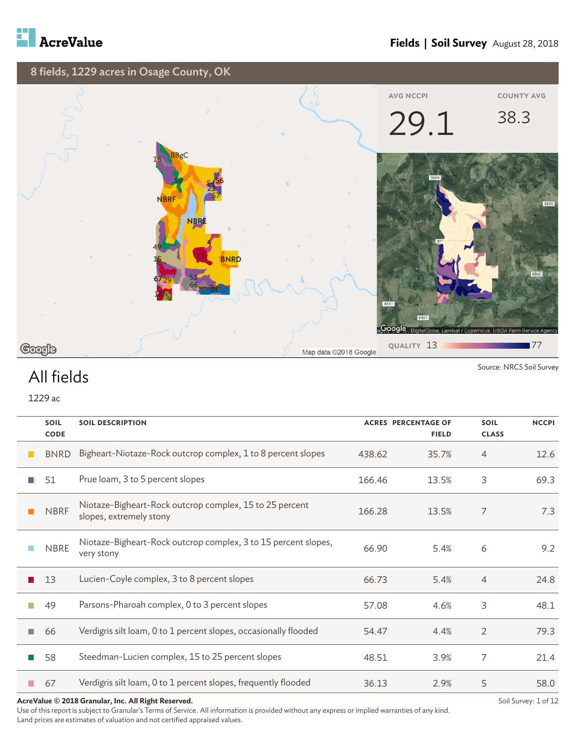



Source: NRCS Soil Survey

#### All fields

1229 ac

|                   | <b>SOIL</b><br><b>CODE</b> | <b>SOIL DESCRIPTION</b>                                                            | <b>ACRES PERCENTAGE OF</b><br><b>FIELD</b> |       | <b>SOIL</b><br><b>CLASS</b> | <b>NCCPI</b> |
|-------------------|----------------------------|------------------------------------------------------------------------------------|--------------------------------------------|-------|-----------------------------|--------------|
| <b>The Second</b> | <b>BNRD</b>                | Bigheart-Niotaze-Rock outcrop complex, 1 to 8 percent slopes                       | 438.62                                     | 35.7% | $\overline{4}$              | 12.6         |
|                   | 51                         | Prue loam, 3 to 5 percent slopes                                                   | 166.46                                     | 13.5% | 3                           | 69.3         |
|                   | <b>NBRF</b>                | Niotaze-Bigheart-Rock outcrop complex, 15 to 25 percent<br>slopes, extremely stony | 166.28                                     | 13.5% | 7                           | 7.3          |
|                   | <b>NBRE</b>                | Niotaze-Bigheart-Rock outcrop complex, 3 to 15 percent slopes,<br>very stony       | 66.90                                      | 5.4%  | 6                           | 9.2          |
|                   | 13                         | Lucien-Coyle complex, 3 to 8 percent slopes                                        | 66.73                                      | 5.4%  | $\overline{4}$              | 24.8         |
|                   | 49                         | Parsons-Pharoah complex, 0 to 3 percent slopes                                     | 57.08                                      | 4.6%  | 3                           | 48.1         |
|                   | 66                         | Verdigris silt loam, 0 to 1 percent slopes, occasionally flooded                   | 54.47                                      | 4.4%  | 2                           | 79.3         |
|                   | 58                         | Steedman-Lucien complex, 15 to 25 percent slopes                                   | 48.51                                      | 3.9%  | 7                           | 21.4         |
|                   | 67                         | Verdigris silt loam, 0 to 1 percent slopes, frequently flooded                     | 36.13                                      | 2.9%  | 5                           | 58.0         |

**AcreValue © 2018 Granular, Inc. All Right Reserved.**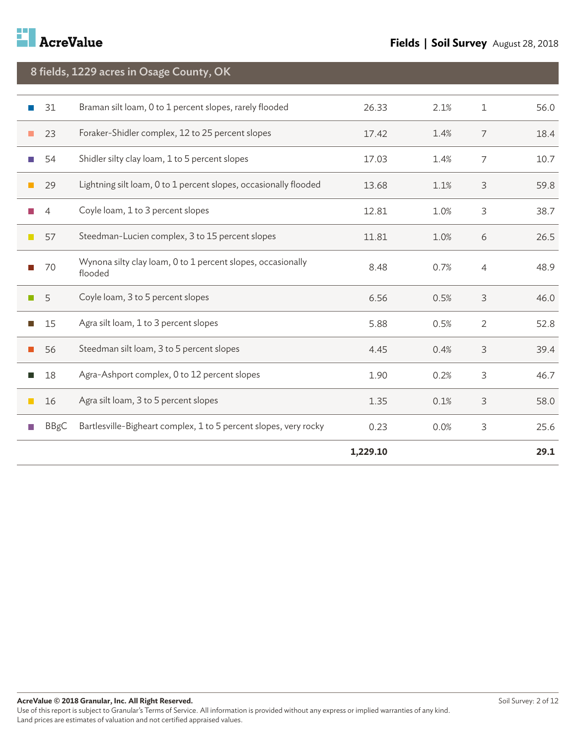

|        | 8 fields, 1229 acres in Osage County, OK |                                                                        |          |      |                |      |  |  |
|--------|------------------------------------------|------------------------------------------------------------------------|----------|------|----------------|------|--|--|
|        |                                          |                                                                        |          |      |                |      |  |  |
|        | 31                                       | Braman silt loam, 0 to 1 percent slopes, rarely flooded                | 26.33    | 2.1% | $\mathbf 1$    | 56.0 |  |  |
|        | 23                                       | Foraker-Shidler complex, 12 to 25 percent slopes                       | 17.42    | 1.4% | $\overline{7}$ | 18.4 |  |  |
|        | 54                                       | Shidler silty clay loam, 1 to 5 percent slopes                         | 17.03    | 1.4% | 7              | 10.7 |  |  |
| l.     | 29                                       | Lightning silt loam, 0 to 1 percent slopes, occasionally flooded       | 13.68    | 1.1% | 3              | 59.8 |  |  |
|        | $\overline{4}$                           | Coyle loam, 1 to 3 percent slopes                                      | 12.81    | 1.0% | 3              | 38.7 |  |  |
| $\Box$ | 57                                       | Steedman-Lucien complex, 3 to 15 percent slopes                        | 11.81    | 1.0% | 6              | 26.5 |  |  |
|        | 70                                       | Wynona silty clay loam, 0 to 1 percent slopes, occasionally<br>flooded | 8.48     | 0.7% | $\overline{4}$ | 48.9 |  |  |
| H.     | 5                                        | Coyle loam, 3 to 5 percent slopes                                      | 6.56     | 0.5% | 3              | 46.0 |  |  |
| LУ.    | 15                                       | Agra silt loam, 1 to 3 percent slopes                                  | 5.88     | 0.5% | $\overline{2}$ | 52.8 |  |  |
|        | 56                                       | Steedman silt loam, 3 to 5 percent slopes                              | 4.45     | 0.4% | 3              | 39.4 |  |  |
| l.     | 18                                       | Agra-Ashport complex, 0 to 12 percent slopes                           | 1.90     | 0.2% | 3              | 46.7 |  |  |
| $\Box$ | 16                                       | Agra silt loam, 3 to 5 percent slopes                                  | 1.35     | 0.1% | 3              | 58.0 |  |  |
|        | <b>BBgC</b>                              | Bartlesville-Bigheart complex, 1 to 5 percent slopes, very rocky       | 0.23     | 0.0% | 3              | 25.6 |  |  |
|        |                                          |                                                                        | 1,229.10 |      |                | 29.1 |  |  |
|        |                                          |                                                                        |          |      |                |      |  |  |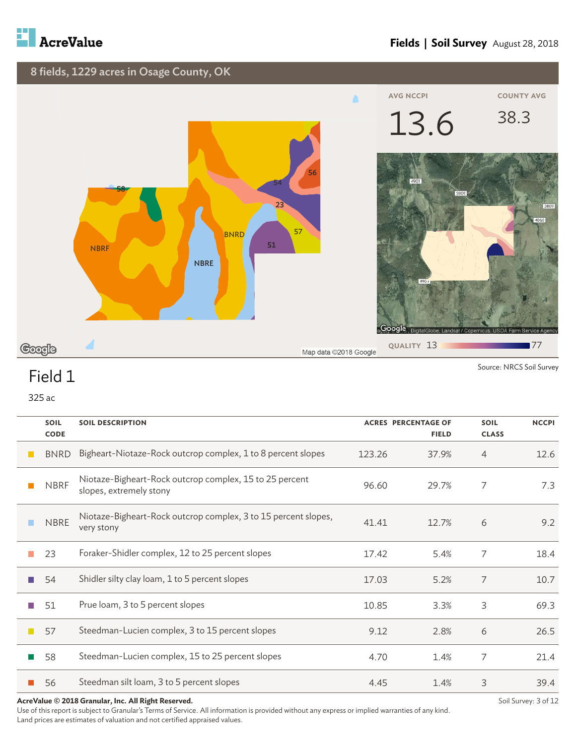



325 ac

| <b>SOIL</b><br><b>CODE</b> | <b>SOIL DESCRIPTION</b>                                                            |        | <b>ACRES PERCENTAGE OF</b><br><b>FIELD</b> | <b>SOIL</b><br><b>CLASS</b> | <b>NCCPI</b> |
|----------------------------|------------------------------------------------------------------------------------|--------|--------------------------------------------|-----------------------------|--------------|
| <b>BNRD</b>                | Bigheart-Niotaze-Rock outcrop complex, 1 to 8 percent slopes                       | 123.26 | 37.9%                                      | $\overline{4}$              | 12.6         |
| <b>NBRF</b>                | Niotaze-Bigheart-Rock outcrop complex, 15 to 25 percent<br>slopes, extremely stony | 96.60  | 29.7%                                      | 7                           | 7.3          |
| <b>NBRE</b>                | Niotaze-Bigheart-Rock outcrop complex, 3 to 15 percent slopes,<br>very stony       | 41.41  | 12.7%                                      | 6                           | 9.2          |
| 23                         | Foraker-Shidler complex, 12 to 25 percent slopes                                   | 17.42  | 5.4%                                       | 7                           | 18.4         |
| 54                         | Shidler silty clay loam, 1 to 5 percent slopes                                     | 17.03  | 5.2%                                       | 7                           | 10.7         |
| 51                         | Prue loam, 3 to 5 percent slopes                                                   | 10.85  | 3.3%                                       | 3                           | 69.3         |
| 57                         | Steedman-Lucien complex, 3 to 15 percent slopes                                    | 9.12   | 2.8%                                       | 6                           | 26.5         |
| 58                         | Steedman-Lucien complex, 15 to 25 percent slopes                                   | 4.70   | 1.4%                                       | 7                           | 21.4         |
| 56                         | Steedman silt loam, 3 to 5 percent slopes                                          | 4.45   | 1.4%                                       | 3                           | 39.4         |

**AcreValue © 2018 Granular, Inc. All Right Reserved.**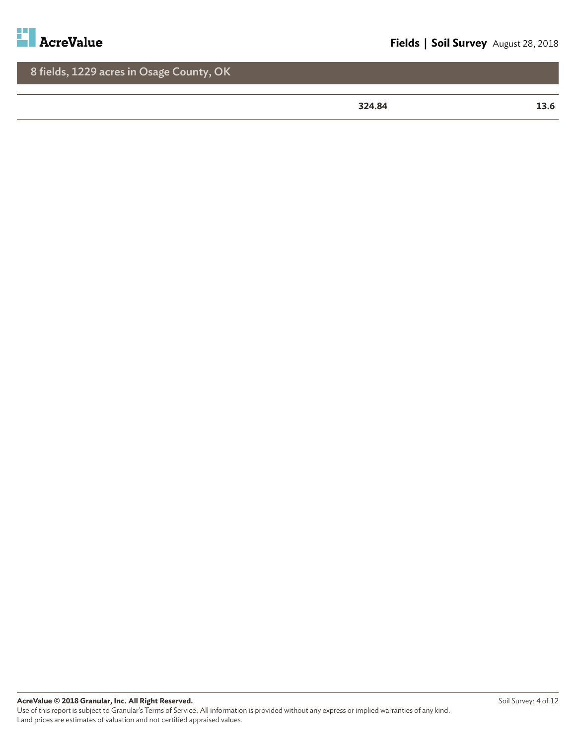

**324.84 13.6**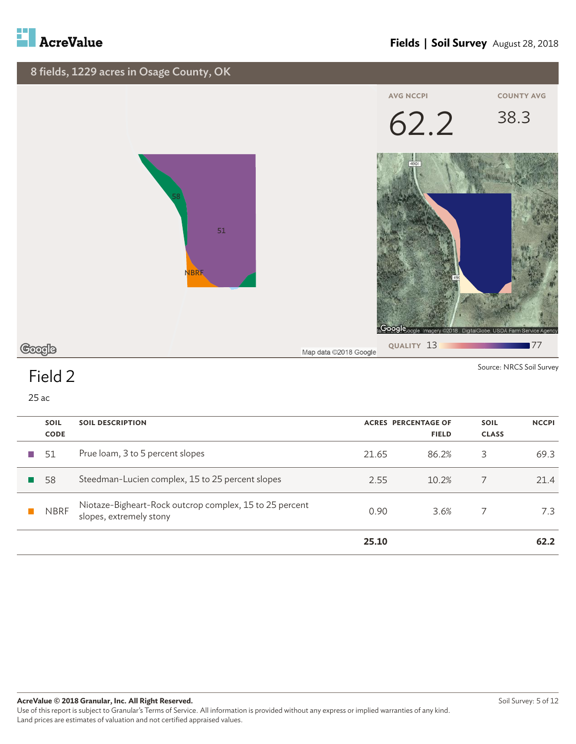



| <b>SOIL</b> | <b>SOIL DESCRIPTION</b>                                                            |       | <b>ACRES PERCENTAGE OF</b> | <b>SOIL</b>  | <b>NCCPI</b> |
|-------------|------------------------------------------------------------------------------------|-------|----------------------------|--------------|--------------|
| <b>CODE</b> |                                                                                    |       | <b>FIELD</b>               | <b>CLASS</b> |              |
| 51          | Prue loam, 3 to 5 percent slopes                                                   | 21.65 | 86.2%                      | 3            | 69.3         |
| 58          | Steedman-Lucien complex, 15 to 25 percent slopes                                   | 2.55  | 10.2%                      |              | 21.4         |
| <b>NBRF</b> | Niotaze-Bigheart-Rock outcrop complex, 15 to 25 percent<br>slopes, extremely stony | 0.90  | 3.6%                       |              | 7.3          |
|             |                                                                                    | 25.10 |                            |              | 62.2         |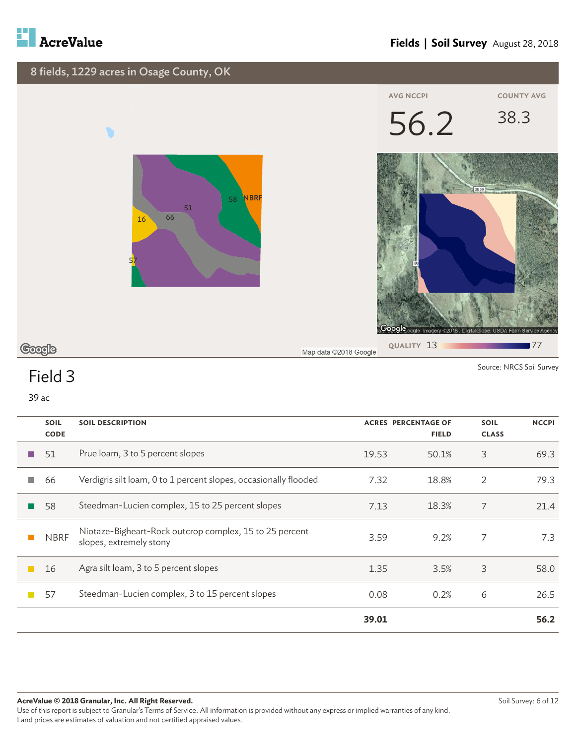



|                  | <b>SOIL</b><br><b>CODE</b> | <b>SOIL DESCRIPTION</b>                                                            | <b>ACRES PERCENTAGE OF</b><br><b>FIELD</b> |       | <b>SOIL</b><br><b>CLASS</b> | <b>NCCPI</b> |
|------------------|----------------------------|------------------------------------------------------------------------------------|--------------------------------------------|-------|-----------------------------|--------------|
| <b>The State</b> | 51                         | Prue loam, 3 to 5 percent slopes                                                   | 19.53                                      | 50.1% | 3                           | 69.3         |
| <b>I</b>         | 66                         | Verdigris silt loam, 0 to 1 percent slopes, occasionally flooded                   | 7.32                                       | 18.8% | 2                           | 79.3         |
|                  | 58                         | Steedman-Lucien complex, 15 to 25 percent slopes                                   | 7.13                                       | 18.3% | 7                           | 21.4         |
|                  | <b>NBRF</b>                | Niotaze-Bigheart-Rock outcrop complex, 15 to 25 percent<br>slopes, extremely stony | 3.59                                       | 9.2%  | 7                           | 7.3          |
|                  | 16                         | Agra silt loam, 3 to 5 percent slopes                                              | 1.35                                       | 3.5%  | 3                           | 58.0         |
|                  | 57                         | Steedman-Lucien complex, 3 to 15 percent slopes                                    | 0.08                                       | 0.2%  | 6                           | 26.5         |
|                  |                            |                                                                                    | 39.01                                      |       |                             | 56.2         |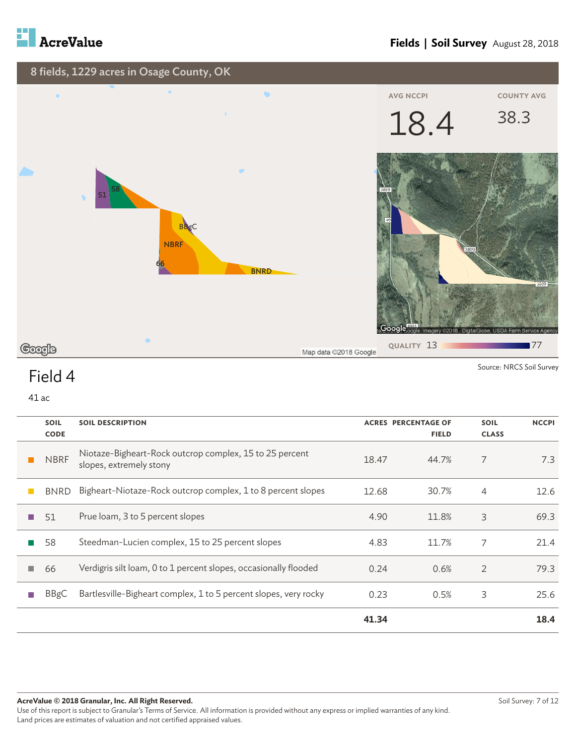

#### **Fields | Soil Survey** August 28, 2018



Source: NRCS Soil Survey

## Field 4

| <b>SOIL</b> | <b>SOIL DESCRIPTION</b>                                                            | <b>ACRES PERCENTAGE OF</b> |              | <b>SOIL</b>    | <b>NCCPI</b> |
|-------------|------------------------------------------------------------------------------------|----------------------------|--------------|----------------|--------------|
| <b>CODE</b> |                                                                                    |                            | <b>FIELD</b> | <b>CLASS</b>   |              |
| <b>NBRF</b> | Niotaze-Bigheart-Rock outcrop complex, 15 to 25 percent<br>slopes, extremely stony | 18.47                      | 44.7%        | 7              | 7.3          |
| <b>BNRD</b> | Bigheart-Niotaze-Rock outcrop complex, 1 to 8 percent slopes                       | 12.68                      | 30.7%        | 4              | 12.6         |
| 51          | Prue loam, 3 to 5 percent slopes                                                   | 4.90                       | 11.8%        | 3              | 69.3         |
| 58          | Steedman-Lucien complex, 15 to 25 percent slopes                                   | 4.83                       | 11.7%        | 7              | 21.4         |
| 66          | Verdigris silt loam, 0 to 1 percent slopes, occasionally flooded                   | 0.24                       | 0.6%         | $\overline{2}$ | 79.3         |
| BBgC        | Bartlesville-Bigheart complex, 1 to 5 percent slopes, very rocky                   | 0.23                       | 0.5%         | 3              | 25.6         |
|             |                                                                                    | 41.34                      |              |                | 18.4         |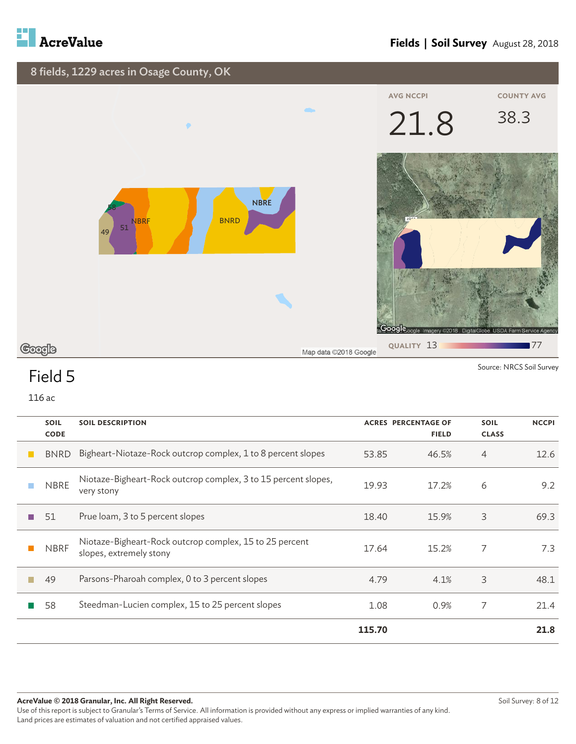



| <b>SOIL</b><br><b>CODE</b> | <b>SOIL DESCRIPTION</b>                                                            |        | <b>ACRES PERCENTAGE OF</b><br><b>FIELD</b> | <b>SOIL</b><br><b>CLASS</b> | <b>NCCPI</b> |
|----------------------------|------------------------------------------------------------------------------------|--------|--------------------------------------------|-----------------------------|--------------|
| <b>BNRD</b>                | Bigheart-Niotaze-Rock outcrop complex, 1 to 8 percent slopes                       | 53.85  | 46.5%                                      | 4                           | 12.6         |
| <b>NBRE</b>                | Niotaze-Bigheart-Rock outcrop complex, 3 to 15 percent slopes,<br>very stony       | 19.93  | 17.2%                                      | 6                           | 9.2          |
| 51                         | Prue loam, 3 to 5 percent slopes                                                   | 18.40  | 15.9%                                      | 3                           | 69.3         |
| <b>NBRF</b>                | Niotaze-Bigheart-Rock outcrop complex, 15 to 25 percent<br>slopes, extremely stony | 17.64  | 15.2%                                      | 7                           | 7.3          |
| 49                         | Parsons-Pharoah complex, 0 to 3 percent slopes                                     | 4.79   | 4.1%                                       | 3                           | 48.1         |
| 58                         | Steedman-Lucien complex, 15 to 25 percent slopes                                   | 1.08   | 0.9%                                       | 7                           | 21.4         |
|                            |                                                                                    | 115.70 |                                            |                             | 21.8         |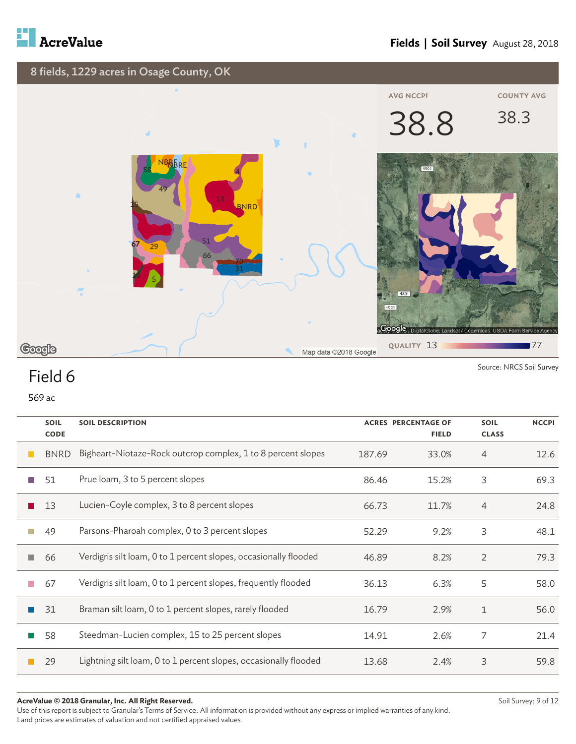



569 ac

|     | <b>SOIL</b><br><b>CODE</b> | <b>SOIL DESCRIPTION</b>                                          |        | <b>ACRES PERCENTAGE OF</b><br><b>FIELD</b> | <b>SOIL</b><br><b>CLASS</b> | <b>NCCPI</b> |
|-----|----------------------------|------------------------------------------------------------------|--------|--------------------------------------------|-----------------------------|--------------|
|     | <b>BNRD</b>                | Bigheart-Niotaze-Rock outcrop complex, 1 to 8 percent slopes     | 187.69 | 33.0%                                      | 4                           | 12.6         |
|     | 51                         | Prue loam, 3 to 5 percent slopes                                 | 86.46  | 15.2%                                      | 3                           | 69.3         |
|     | 13                         | Lucien-Coyle complex, 3 to 8 percent slopes                      | 66.73  | 11.7%                                      | 4                           | 24.8         |
|     | 49                         | Parsons-Pharoah complex, 0 to 3 percent slopes                   | 52.29  | 9.2%                                       | 3                           | 48.1         |
| a a | 66                         | Verdigris silt loam, 0 to 1 percent slopes, occasionally flooded | 46.89  | 8.2%                                       | $\overline{2}$              | 79.3         |
| m.  | 67                         | Verdigris silt loam, 0 to 1 percent slopes, frequently flooded   | 36.13  | 6.3%                                       | 5                           | 58.0         |
|     | 31                         | Braman silt loam, 0 to 1 percent slopes, rarely flooded          | 16.79  | 2.9%                                       | $\mathbf 1$                 | 56.0         |
|     | 58                         | Steedman-Lucien complex, 15 to 25 percent slopes                 | 14.91  | 2.6%                                       | 7                           | 21.4         |
|     | 29                         | Lightning silt loam, 0 to 1 percent slopes, occasionally flooded | 13.68  | 2.4%                                       | 3                           | 59.8         |

#### **AcreValue © 2018 Granular, Inc. All Right Reserved.**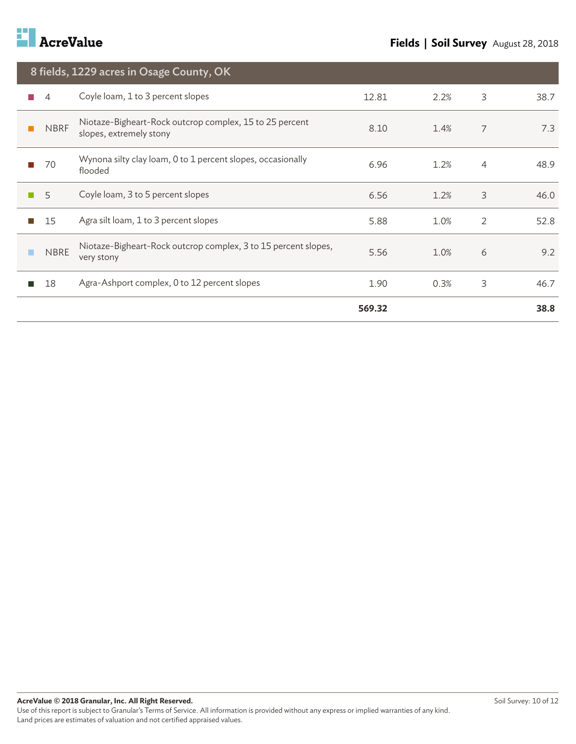

|                   | 8 fields, 1229 acres in Osage County, OK                                           |        |      |                |      |  |  |  |
|-------------------|------------------------------------------------------------------------------------|--------|------|----------------|------|--|--|--|
| 4                 | Coyle loam, 1 to 3 percent slopes                                                  | 12.81  | 2.2% | 3              | 38.7 |  |  |  |
| <b>NBRF</b>       | Niotaze-Bigheart-Rock outcrop complex, 15 to 25 percent<br>slopes, extremely stony | 8.10   | 1.4% | $\overline{7}$ | 7.3  |  |  |  |
| 70                | Wynona silty clay loam, 0 to 1 percent slopes, occasionally<br>flooded             | 6.96   | 1.2% | $\overline{4}$ | 48.9 |  |  |  |
| 5                 | Coyle loam, 3 to 5 percent slopes                                                  | 6.56   | 1.2% | 3              | 46.0 |  |  |  |
| 15<br><b>Tale</b> | Agra silt loam, 1 to 3 percent slopes                                              | 5.88   | 1.0% | $\overline{2}$ | 52.8 |  |  |  |
| <b>NBRE</b>       | Niotaze-Bigheart-Rock outcrop complex, 3 to 15 percent slopes,<br>very stony       | 5.56   | 1.0% | 6              | 9.2  |  |  |  |
| 18                | Agra-Ashport complex, 0 to 12 percent slopes                                       | 1.90   | 0.3% | 3              | 46.7 |  |  |  |
|                   |                                                                                    | 569.32 |      |                | 38.8 |  |  |  |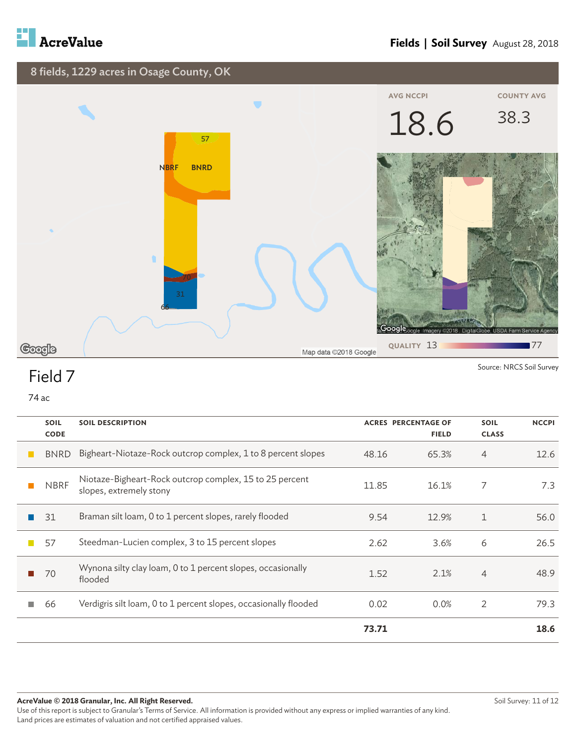





Source: NRCS Soil Survey

## Field 7

|                | <b>SOIL</b> | <b>SOIL DESCRIPTION</b>                                                            | <b>ACRES PERCENTAGE OF</b> |              | <b>SOIL</b>    | <b>NCCPI</b> |
|----------------|-------------|------------------------------------------------------------------------------------|----------------------------|--------------|----------------|--------------|
|                | <b>CODE</b> |                                                                                    |                            | <b>FIELD</b> | <b>CLASS</b>   |              |
|                | <b>BNRD</b> | Bigheart-Niotaze-Rock outcrop complex, 1 to 8 percent slopes                       | 48.16                      | 65.3%        | 4              | 12.6         |
|                | <b>NBRF</b> | Niotaze-Bigheart-Rock outcrop complex, 15 to 25 percent<br>slopes, extremely stony | 11.85                      | 16.1%        | 7              | 7.3          |
|                | 31          | Braman silt loam, 0 to 1 percent slopes, rarely flooded                            | 9.54                       | 12.9%        | 1              | 56.0         |
| $\mathbb{R}^n$ | 57          | Steedman-Lucien complex, 3 to 15 percent slopes                                    | 2.62                       | 3.6%         | 6              | 26.5         |
|                | 70          | Wynona silty clay loam, 0 to 1 percent slopes, occasionally<br>flooded             | 1.52                       | 2.1%         | $\overline{4}$ | 48.9         |
|                | 66          | Verdigris silt loam, 0 to 1 percent slopes, occasionally flooded                   | 0.02                       | 0.0%         | $\overline{2}$ | 79.3         |
|                |             |                                                                                    | 73.71                      |              |                | 18.6         |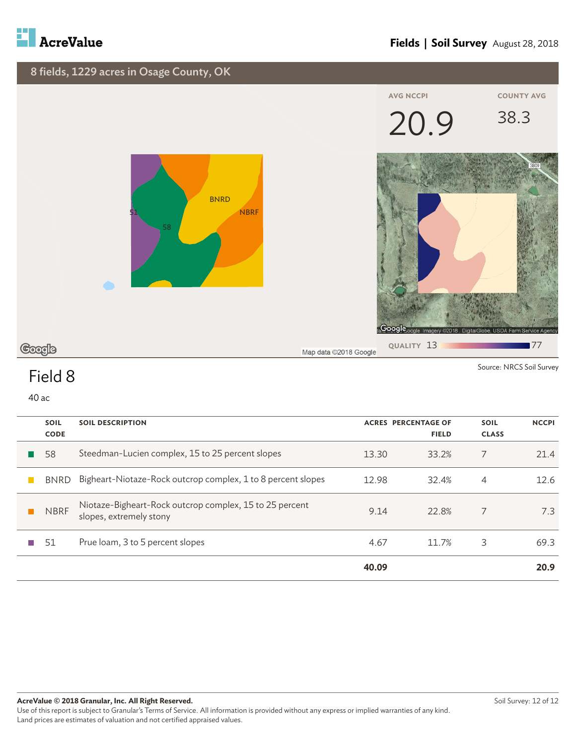



| <b>SOIL</b><br><b>CODE</b> | <b>SOIL DESCRIPTION</b>                                                            |       | <b>ACRES PERCENTAGE OF</b><br><b>FIELD</b> | <b>SOIL</b><br><b>CLASS</b> | <b>NCCPI</b> |
|----------------------------|------------------------------------------------------------------------------------|-------|--------------------------------------------|-----------------------------|--------------|
| 58                         | Steedman-Lucien complex, 15 to 25 percent slopes                                   | 13.30 | 33.2%                                      | 7                           | 21.4         |
| <b>BNRD</b>                | Bigheart-Niotaze-Rock outcrop complex, 1 to 8 percent slopes                       | 12.98 | 32.4%                                      | 4                           | 12.6         |
| <b>NBRF</b>                | Niotaze-Bigheart-Rock outcrop complex, 15 to 25 percent<br>slopes, extremely stony | 9.14  | 22.8%                                      | 7                           | 7.3          |
| 51                         | Prue loam, 3 to 5 percent slopes                                                   | 4.67  | 11.7%                                      | 3                           | 69.3         |
|                            |                                                                                    | 40.09 |                                            |                             | 20.9         |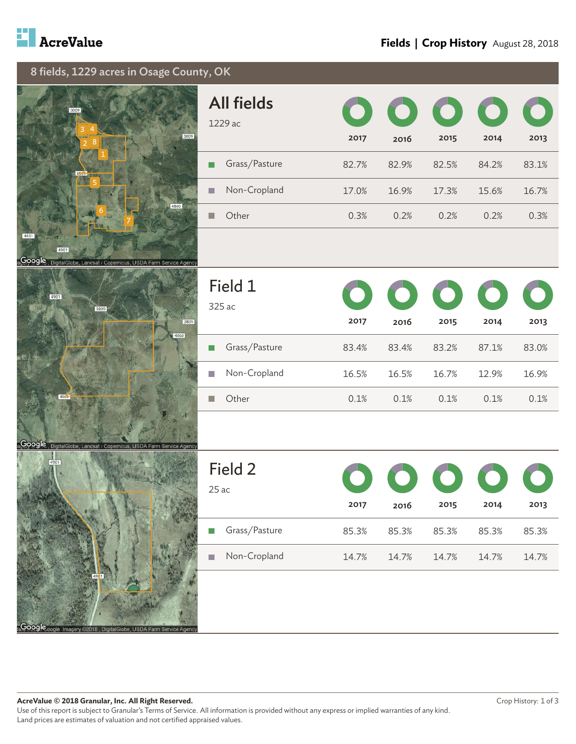





| <b>All fields</b><br>1229 ac | 2017  | 2016  | $\bullet$ 000<br>2015 | $\mathbf O$<br>2014 | 2013  |
|------------------------------|-------|-------|-----------------------|---------------------|-------|
| Grass/Pasture                | 82.7% | 82.9% | 82.5%                 | 84.2%               | 83.1% |
| Non-Cropland                 | 17.0% | 16.9% | 17.3%                 | 15.6%               | 16.7% |
| Other                        | 0.3%  | 0.2%  | 0.2%                  | 0.2%                | 0.3%  |

| Field 1<br>$325$ ac | 2017  | 00000<br>2016 | 2015  | 2014  | 2013  |
|---------------------|-------|---------------|-------|-------|-------|
| Grass/Pasture       | 83.4% | 83.4%         | 83.2% | 87.1% | 83.0% |
| Non-Cropland        | 16.5% | 16.5%         | 16.7% | 12.9% | 16.9% |
| Other               | 0.1%  | 0.1%          | 0.1%  | 0.1%  | 0.1%  |



| Field 2<br>$25$ ac | 2017  | 2016  | 2015  | 00000<br>2014 | 2013  |
|--------------------|-------|-------|-------|---------------|-------|
| Grass/Pasture      | 85.3% | 85.3% | 85.3% | 85.3%         | 85.3% |
| Non-Cropland       | 14.7% | 14.7% | 14.7% | 14.7%         | 14.7% |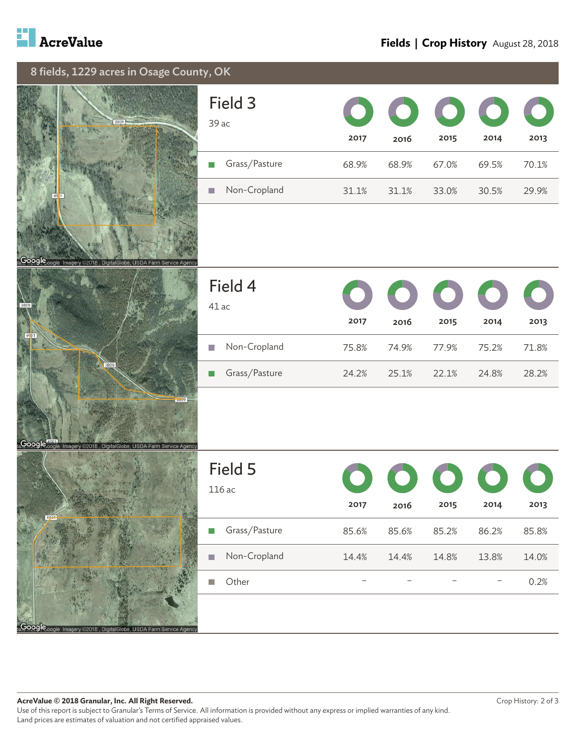

#### **Fields | Crop History** August 28, 2018





| Field 3<br>$39$ ac | 2017  | 2016  | $\bullet$ $\bullet$ $\bullet$ $\bullet$ $\bullet$<br>2015 | 2014  | 2013  |
|--------------------|-------|-------|-----------------------------------------------------------|-------|-------|
| Grass/Pasture      | 68.9% | 68.9% | 67.0%                                                     | 69.5% | 70.1% |
| Non-Cropland       | 31.1% | 31.1% | 33.0%                                                     | 30.5% | 29.9% |



| Field 4<br>41 ac | 2017  | 00000<br>2016 | 2015  | 2014  | 2013  |
|------------------|-------|---------------|-------|-------|-------|
| Non-Cropland     | 75.8% | 74.9%         | 77.9% | 75.2% | 71.8% |
| Grass/Pasture    | 24.2% | 25.1%         | 22.1% | 24.8% | 28.2% |

|           | 4981 |  |  |
|-----------|------|--|--|
|           |      |  |  |
|           |      |  |  |
|           |      |  |  |
| 5000<br>ι | h    |  |  |

| Field 5<br>116ac | 2017  | 2016  | 00000<br>2015 | 2014  | 2013  |
|------------------|-------|-------|---------------|-------|-------|
| Grass/Pasture    | 85.6% | 85.6% | 85.2%         | 86.2% | 85.8% |
| Non-Cropland     | 14.4% | 14.4% | 14.8%         | 13.8% | 14.0% |
| Other            |       |       |               |       | 0.2%  |
|                  |       |       |               |       |       |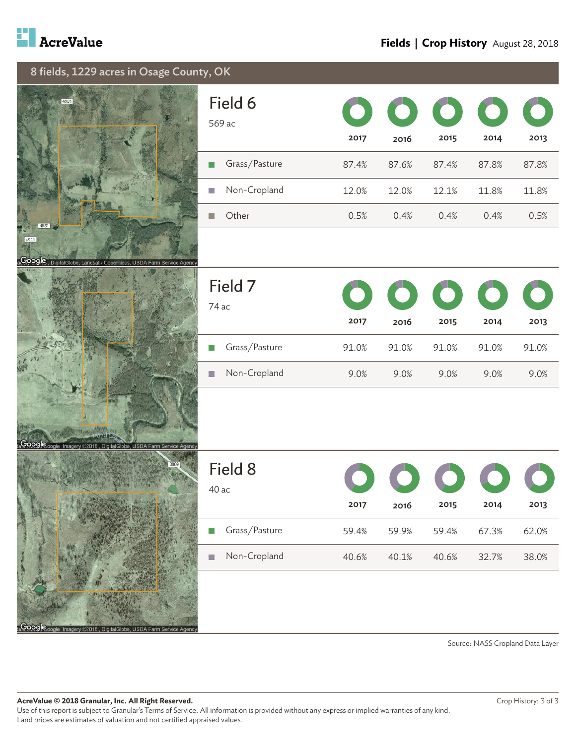







| Field 6<br>569 ac | 2017  | 00000<br>2016 | 2015  | 2014  | 2013  |
|-------------------|-------|---------------|-------|-------|-------|
| Grass/Pasture     | 87.4% | 87.6%         | 87.4% | 87.8% | 87.8% |
| Non-Cropland      | 12.0% | 12.0%         | 12.1% | 11.8% | 11.8% |
| Other             | 0.5%  | 0.4%          | 0.4%  | 0.4%  | 0.5%  |

| Field 7<br>74 ac | 2017  | 00000<br>2016 | 2015  | 2014  | 2013  |
|------------------|-------|---------------|-------|-------|-------|
| Grass/Pasture    | 91.0% | 91.0%         | 91.0% | 91.0% | 91.0% |
| Non-Cropland     | 9.0%  | 9.0%          | 9.0%  | 9.0%  | 9.0%  |

|  |                    |              |     |                 | 3809          |  |
|--|--------------------|--------------|-----|-----------------|---------------|--|
|  |                    |              |     |                 |               |  |
|  |                    |              |     |                 |               |  |
|  |                    |              |     |                 |               |  |
|  |                    |              |     |                 |               |  |
|  | Google one Imagery | 32018<br>Dia | nha | Δ<br>SD<br>Farm | Service Agenc |  |

| Field 8<br>40 ac    | 2017  | 2016  | 00000<br>2015 | 2014  | 2013  |
|---------------------|-------|-------|---------------|-------|-------|
| Grass/Pasture<br>T. | 59.4% | 59.9% | 59.4%         | 67.3% | 62.0% |
| Non-Cropland<br>H   | 40.6% | 40.1% | 40.6%         | 32.7% | 38.0% |

Source: NASS Cropland Data Layer

**AcreValue © 2018 Granular, Inc. All Right Reserved.** Use of this report is subject to Granular's Terms of Service. All information is provided without any express or implied warranties of any kind. Land prices are estimates of valuation and not certified appraised values.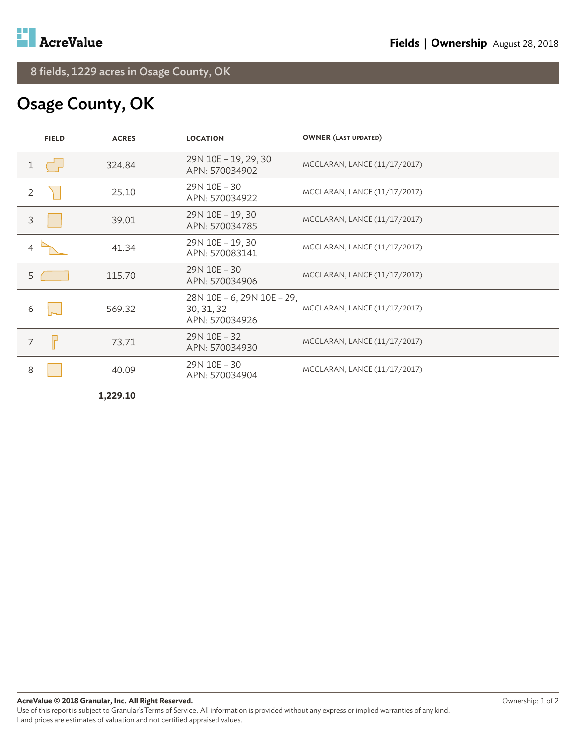## Osage County, OK

| <b>FIELD</b> | <b>ACRES</b> | <b>LOCATION</b>                                            | <b>OWNER (LAST UPDATED)</b>  |
|--------------|--------------|------------------------------------------------------------|------------------------------|
|              | 324.84       | 29N 10E - 19, 29, 30<br>APN: 570034902                     | MCCLARAN, LANCE (11/17/2017) |
| 2            | 25.10        | 29N 10E - 30<br>APN: 570034922                             | MCCLARAN, LANCE (11/17/2017) |
| 3            | 39.01        | 29N 10E - 19, 30<br>APN: 570034785                         | MCCLARAN, LANCE (11/17/2017) |
|              | 41.34        | 29N 10E - 19, 30<br>APN: 570083141                         | MCCLARAN, LANCE (11/17/2017) |
| 5            | 115.70       | 29N 10E - 30<br>APN: 570034906                             | MCCLARAN, LANCE (11/17/2017) |
| 6            | 569.32       | 28N 10E - 6, 29N 10E - 29,<br>30, 31, 32<br>APN: 570034926 | MCCLARAN, LANCE (11/17/2017) |
| ╟<br>7       | 73.71        | 29N 10E - 32<br>APN: 570034930                             | MCCLARAN, LANCE (11/17/2017) |
| 8            | 40.09        | 29N 10E - 30<br>APN: 570034904                             | MCCLARAN, LANCE (11/17/2017) |
|              | 1,229.10     |                                                            |                              |